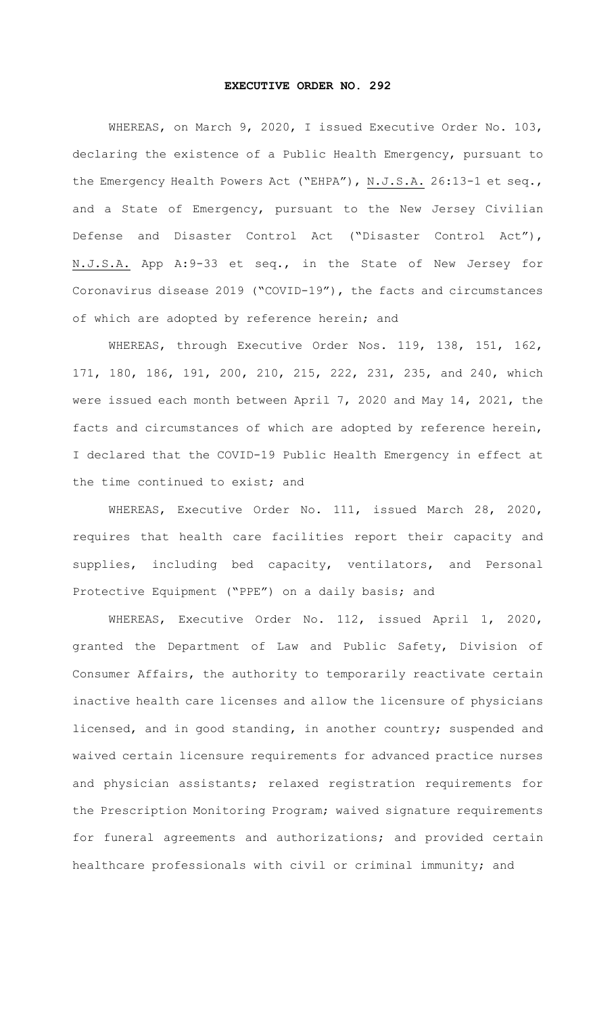## **EXECUTIVE ORDER NO. 292**

WHEREAS, on March 9, 2020, I issued Executive Order No. 103, declaring the existence of a Public Health Emergency, pursuant to the Emergency Health Powers Act ("EHPA"), N.J.S.A. 26:13-1 et seq., and a State of Emergency, pursuant to the New Jersey Civilian Defense and Disaster Control Act ("Disaster Control Act"), N.J.S.A. App A:9-33 et seq., in the State of New Jersey for Coronavirus disease 2019 ("COVID-19"), the facts and circumstances of which are adopted by reference herein; and

WHEREAS, through Executive Order Nos. 119, 138, 151, 162, 171, 180, 186, 191, 200, 210, 215, 222, 231, 235, and 240, which were issued each month between April 7, 2020 and May 14, 2021, the facts and circumstances of which are adopted by reference herein, I declared that the COVID-19 Public Health Emergency in effect at the time continued to exist; and

WHEREAS, Executive Order No. 111, issued March 28, 2020, requires that health care facilities report their capacity and supplies, including bed capacity, ventilators, and Personal Protective Equipment ("PPE") on a daily basis; and

WHEREAS, Executive Order No. 112, issued April 1, 2020, granted the Department of Law and Public Safety, Division of Consumer Affairs, the authority to temporarily reactivate certain inactive health care licenses and allow the licensure of physicians licensed, and in good standing, in another country; suspended and waived certain licensure requirements for advanced practice nurses and physician assistants; relaxed registration requirements for the Prescription Monitoring Program; waived signature requirements for funeral agreements and authorizations; and provided certain healthcare professionals with civil or criminal immunity; and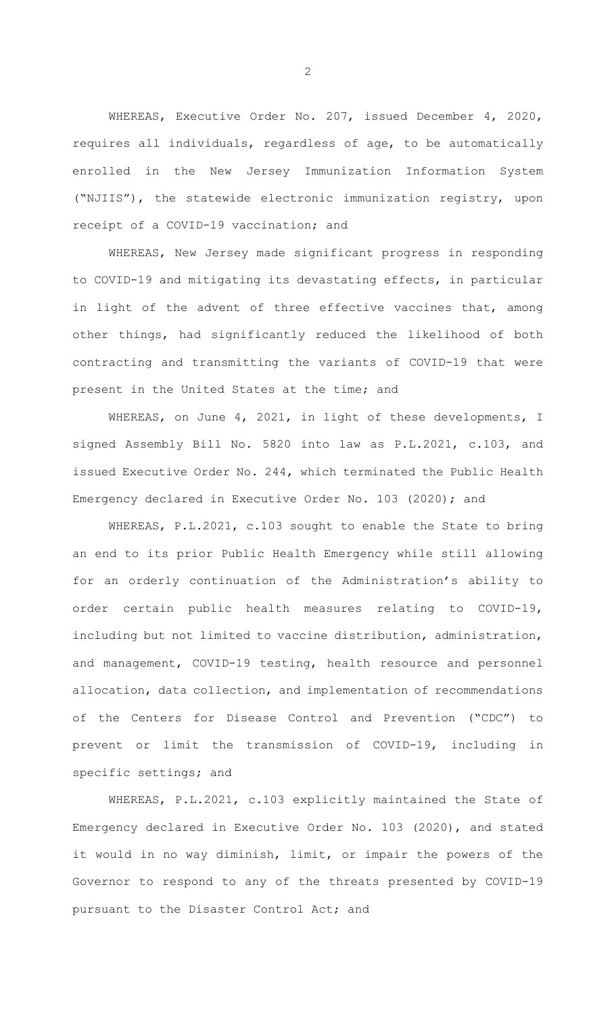WHEREAS, Executive Order No. 207, issued December 4, 2020, requires all individuals, regardless of age, to be automatically enrolled in the New Jersey Immunization Information System ("NJIIS"), the statewide electronic immunization registry, upon receipt of a COVID-19 vaccination; and

WHEREAS, New Jersey made significant progress in responding to COVID-19 and mitigating its devastating effects, in particular in light of the advent of three effective vaccines that, among other things, had significantly reduced the likelihood of both contracting and transmitting the variants of COVID-19 that were present in the United States at the time; and

WHEREAS, on June 4, 2021, in light of these developments, I signed Assembly Bill No. 5820 into law as P.L.2021, c.103, and issued Executive Order No. 244, which terminated the Public Health Emergency declared in Executive Order No. 103 (2020); and

WHEREAS, P.L.2021, c.103 sought to enable the State to bring an end to its prior Public Health Emergency while still allowing for an orderly continuation of the Administration's ability to order certain public health measures relating to COVID-19, including but not limited to vaccine distribution, administration, and management, COVID-19 testing, health resource and personnel allocation, data collection, and implementation of recommendations of the Centers for Disease Control and Prevention ("CDC") to prevent or limit the transmission of COVID-19, including in specific settings; and

WHEREAS, P.L.2021, c.103 explicitly maintained the State of Emergency declared in Executive Order No. 103 (2020), and stated it would in no way diminish, limit, or impair the powers of the Governor to respond to any of the threats presented by COVID-19 pursuant to the Disaster Control Act; and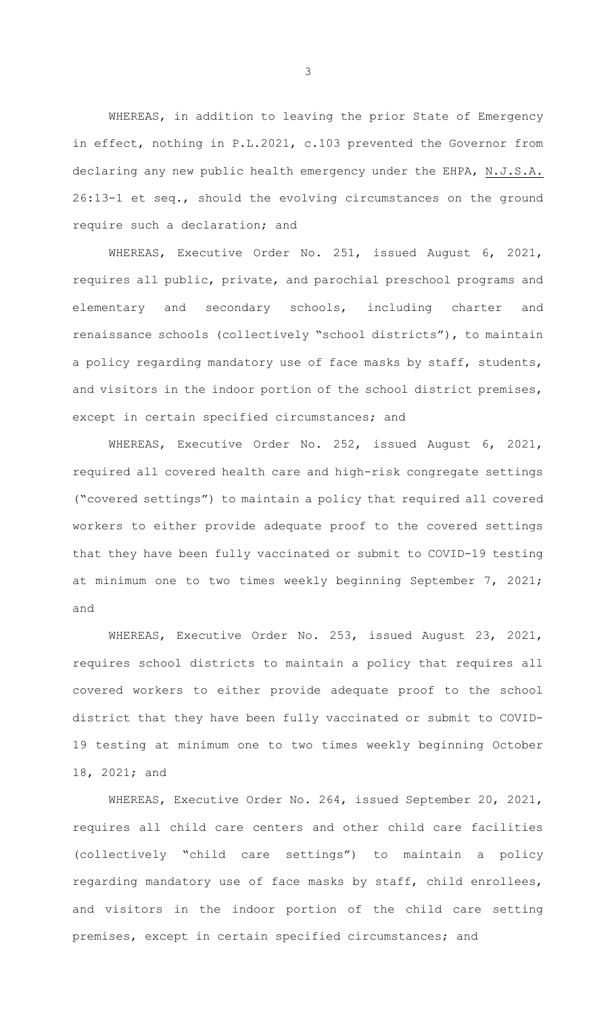WHEREAS, in addition to leaving the prior State of Emergency in effect, nothing in P.L.2021, c.103 prevented the Governor from declaring any new public health emergency under the EHPA, N.J.S.A. 26:13-1 et seq., should the evolving circumstances on the ground require such a declaration; and

WHEREAS, Executive Order No. 251, issued August 6, 2021, requires all public, private, and parochial preschool programs and elementary and secondary schools, including charter and renaissance schools (collectively "school districts"), to maintain a policy regarding mandatory use of face masks by staff, students, and visitors in the indoor portion of the school district premises, except in certain specified circumstances; and

WHEREAS, Executive Order No. 252, issued August 6, 2021, required all covered health care and high-risk congregate settings ("covered settings") to maintain a policy that required all covered workers to either provide adequate proof to the covered settings that they have been fully vaccinated or submit to COVID-19 testing at minimum one to two times weekly beginning September 7, 2021; and

WHEREAS, Executive Order No. 253, issued August 23, 2021, requires school districts to maintain a policy that requires all covered workers to either provide adequate proof to the school district that they have been fully vaccinated or submit to COVID-19 testing at minimum one to two times weekly beginning October 18, 2021; and

WHEREAS, Executive Order No. 264, issued September 20, 2021, requires all child care centers and other child care facilities (collectively "child care settings") to maintain a policy regarding mandatory use of face masks by staff, child enrollees, and visitors in the indoor portion of the child care setting premises, except in certain specified circumstances; and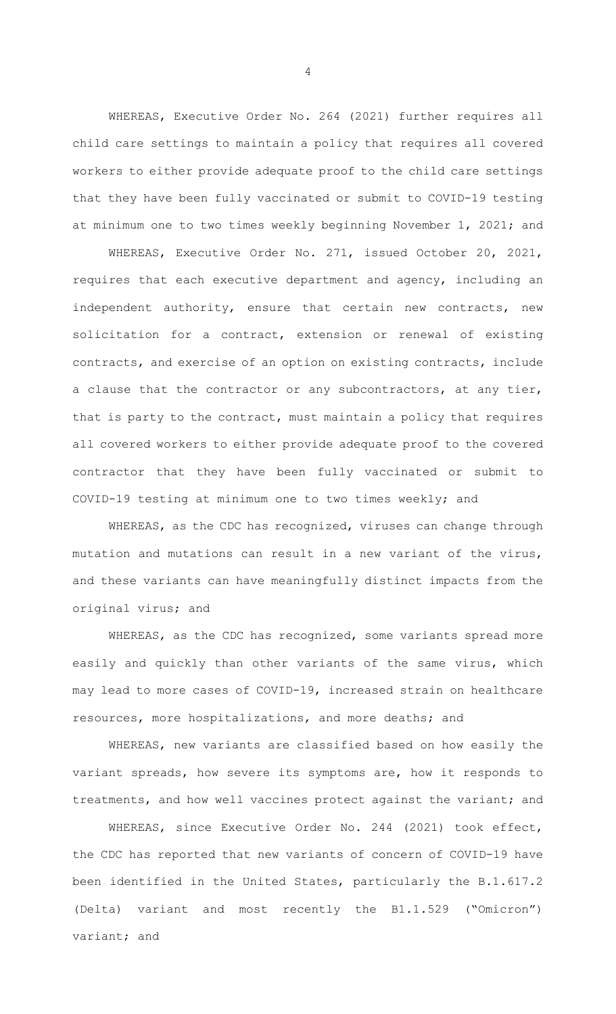WHEREAS, Executive Order No. 264 (2021) further requires all child care settings to maintain a policy that requires all covered workers to either provide adequate proof to the child care settings that they have been fully vaccinated or submit to COVID-19 testing at minimum one to two times weekly beginning November 1, 2021; and

WHEREAS, Executive Order No. 271, issued October 20, 2021, requires that each executive department and agency, including an independent authority, ensure that certain new contracts, new solicitation for a contract, extension or renewal of existing contracts, and exercise of an option on existing contracts, include a clause that the contractor or any subcontractors, at any tier, that is party to the contract, must maintain a policy that requires all covered workers to either provide adequate proof to the covered contractor that they have been fully vaccinated or submit to COVID-19 testing at minimum one to two times weekly; and

WHEREAS, as the CDC has recognized, viruses can change through mutation and mutations can result in a new variant of the virus, and these variants can have meaningfully distinct impacts from the original virus; and

WHEREAS, as the CDC has recognized, some variants spread more easily and quickly than other variants of the same virus, which may lead to more cases of COVID-19, increased strain on healthcare resources, more hospitalizations, and more deaths; and

WHEREAS, new variants are classified based on how easily the variant spreads, how severe its symptoms are, how it responds to treatments, and how well vaccines protect against the variant; and

WHEREAS, since Executive Order No. 244 (2021) took effect, the CDC has reported that new variants of concern of COVID-19 have been identified in the United States, particularly the B.1.617.2 (Delta) variant and most recently the B1.1.529 ("Omicron") variant; and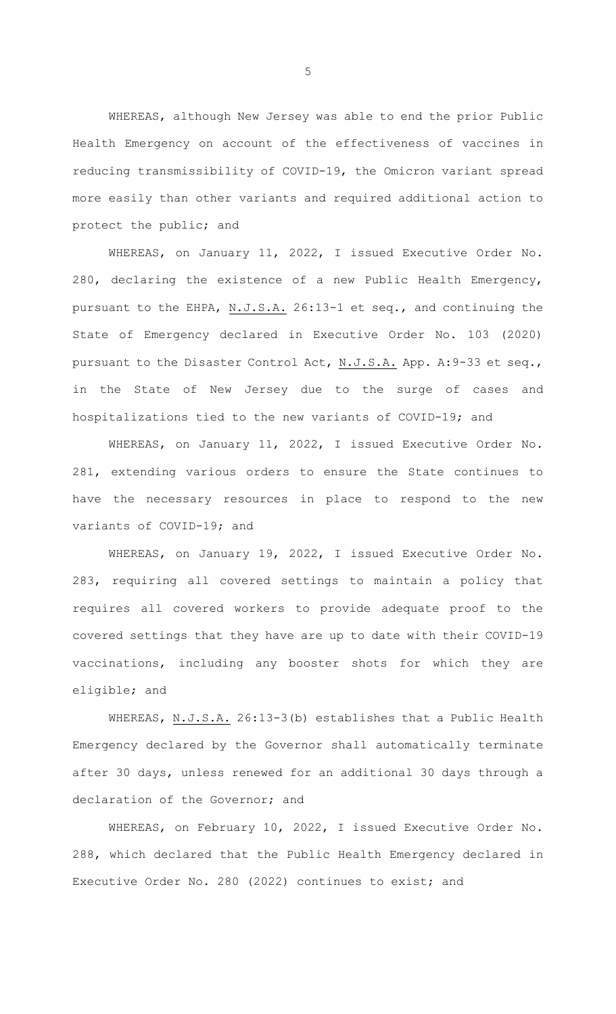WHEREAS, although New Jersey was able to end the prior Public Health Emergency on account of the effectiveness of vaccines in reducing transmissibility of COVID-19, the Omicron variant spread more easily than other variants and required additional action to protect the public; and

WHEREAS, on January 11, 2022, I issued Executive Order No. 280, declaring the existence of a new Public Health Emergency, pursuant to the EHPA, N.J.S.A. 26:13-1 et seq., and continuing the State of Emergency declared in Executive Order No. 103 (2020) pursuant to the Disaster Control Act, N.J.S.A. App. A: 9-33 et seq., in the State of New Jersey due to the surge of cases and hospitalizations tied to the new variants of COVID-19; and

WHEREAS, on January 11, 2022, I issued Executive Order No. 281, extending various orders to ensure the State continues to have the necessary resources in place to respond to the new variants of COVID-19; and

WHEREAS, on January 19, 2022, I issued Executive Order No. 283, requiring all covered settings to maintain a policy that requires all covered workers to provide adequate proof to the covered settings that they have are up to date with their COVID-19 vaccinations, including any booster shots for which they are eligible; and

WHEREAS, N.J.S.A. 26:13-3(b) establishes that a Public Health Emergency declared by the Governor shall automatically terminate after 30 days, unless renewed for an additional 30 days through a declaration of the Governor; and

WHEREAS, on February 10, 2022, I issued Executive Order No. 288, which declared that the Public Health Emergency declared in Executive Order No. 280 (2022) continues to exist; and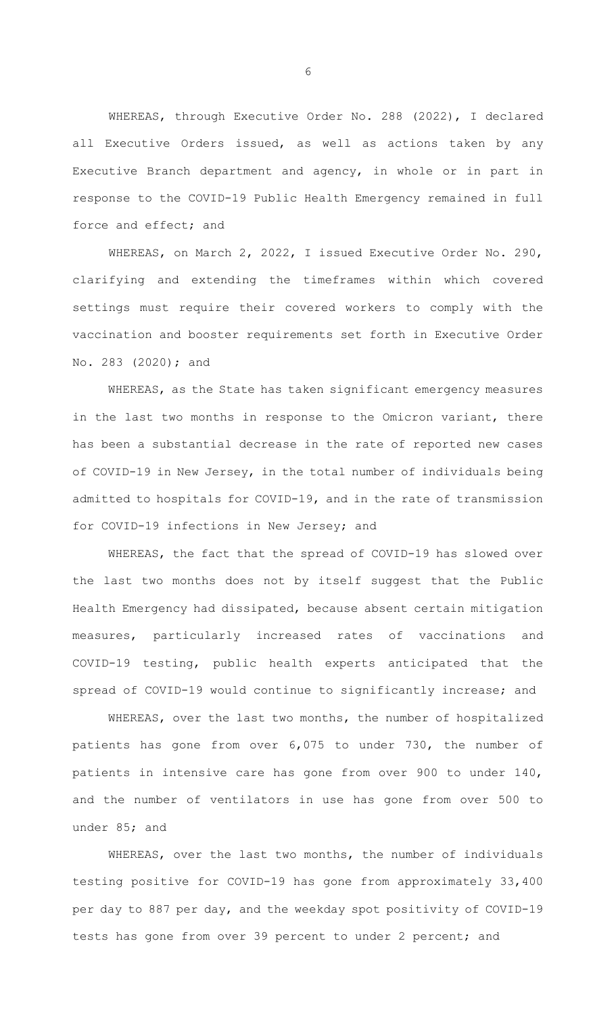WHEREAS, through Executive Order No. 288 (2022), I declared all Executive Orders issued, as well as actions taken by any Executive Branch department and agency, in whole or in part in response to the COVID-19 Public Health Emergency remained in full force and effect; and

WHEREAS, on March 2, 2022, I issued Executive Order No. 290, clarifying and extending the timeframes within which covered settings must require their covered workers to comply with the vaccination and booster requirements set forth in Executive Order No. 283 (2020); and

WHEREAS, as the State has taken significant emergency measures in the last two months in response to the Omicron variant, there has been a substantial decrease in the rate of reported new cases of COVID-19 in New Jersey, in the total number of individuals being admitted to hospitals for COVID-19, and in the rate of transmission for COVID-19 infections in New Jersey; and

WHEREAS, the fact that the spread of COVID-19 has slowed over the last two months does not by itself suggest that the Public Health Emergency had dissipated, because absent certain mitigation measures, particularly increased rates of vaccinations and COVID-19 testing, public health experts anticipated that the spread of COVID-19 would continue to significantly increase; and

WHEREAS, over the last two months, the number of hospitalized patients has gone from over 6,075 to under 730, the number of patients in intensive care has gone from over 900 to under 140, and the number of ventilators in use has gone from over 500 to under 85; and

WHEREAS, over the last two months, the number of individuals testing positive for COVID-19 has gone from approximately 33,400 per day to 887 per day, and the weekday spot positivity of COVID-19 tests has gone from over 39 percent to under 2 percent; and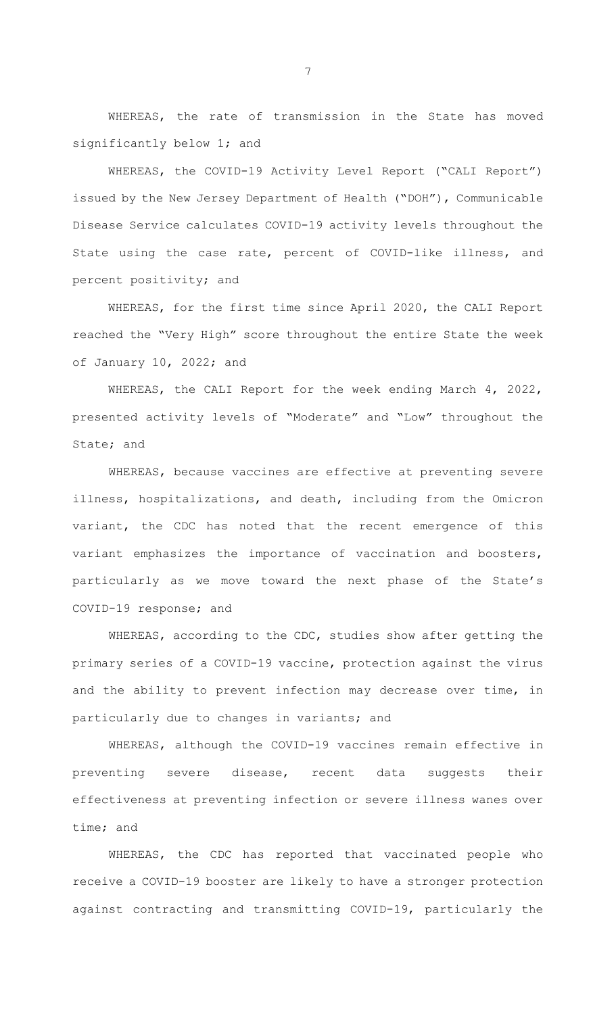WHEREAS, the rate of transmission in the State has moved significantly below 1; and

WHEREAS, the COVID-19 Activity Level Report ("CALI Report") issued by the New Jersey Department of Health ("DOH"), Communicable Disease Service calculates COVID-19 activity levels throughout the State using the case rate, percent of COVID-like illness, and percent positivity; and

WHEREAS, for the first time since April 2020, the CALI Report reached the "Very High" score throughout the entire State the week of January 10, 2022; and

WHEREAS, the CALI Report for the week ending March 4, 2022, presented activity levels of "Moderate" and "Low" throughout the State; and

WHEREAS, because vaccines are effective at preventing severe illness, hospitalizations, and death, including from the Omicron variant, the CDC has noted that the recent emergence of this variant emphasizes the importance of vaccination and boosters, particularly as we move toward the next phase of the State's COVID-19 response; and

WHEREAS, according to the CDC, studies show after getting the primary series of a COVID-19 vaccine, protection against the virus and the ability to prevent infection may decrease over time, in particularly due to changes in variants; and

WHEREAS, although the COVID-19 vaccines remain effective in preventing severe disease, recent data suggests their effectiveness at preventing infection or severe illness wanes over time; and

WHEREAS, the CDC has reported that vaccinated people who receive a COVID-19 booster are likely to have a stronger protection against contracting and transmitting COVID-19, particularly the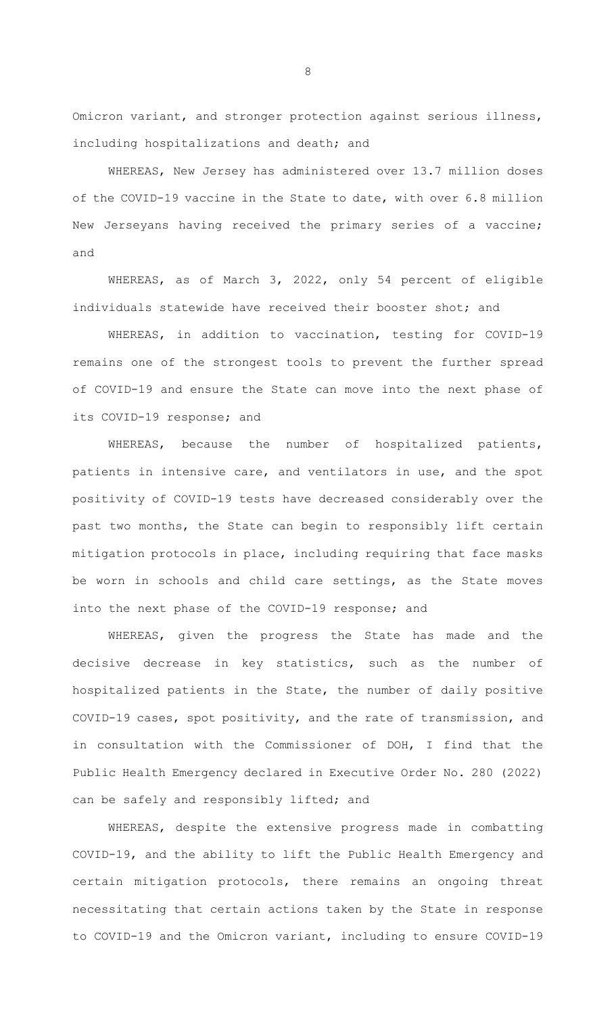Omicron variant, and stronger protection against serious illness, including hospitalizations and death; and

WHEREAS, New Jersey has administered over 13.7 million doses of the COVID-19 vaccine in the State to date, with over 6.8 million New Jerseyans having received the primary series of a vaccine; and

WHEREAS, as of March 3, 2022, only 54 percent of eligible individuals statewide have received their booster shot; and

WHEREAS, in addition to vaccination, testing for COVID-19 remains one of the strongest tools to prevent the further spread of COVID-19 and ensure the State can move into the next phase of its COVID-19 response; and

WHEREAS, because the number of hospitalized patients, patients in intensive care, and ventilators in use, and the spot positivity of COVID-19 tests have decreased considerably over the past two months, the State can begin to responsibly lift certain mitigation protocols in place, including requiring that face masks be worn in schools and child care settings, as the State moves into the next phase of the COVID-19 response; and

WHEREAS, given the progress the State has made and the decisive decrease in key statistics, such as the number of hospitalized patients in the State, the number of daily positive COVID-19 cases, spot positivity, and the rate of transmission, and in consultation with the Commissioner of DOH, I find that the Public Health Emergency declared in Executive Order No. 280 (2022) can be safely and responsibly lifted; and

WHEREAS, despite the extensive progress made in combatting COVID-19, and the ability to lift the Public Health Emergency and certain mitigation protocols, there remains an ongoing threat necessitating that certain actions taken by the State in response to COVID-19 and the Omicron variant, including to ensure COVID-19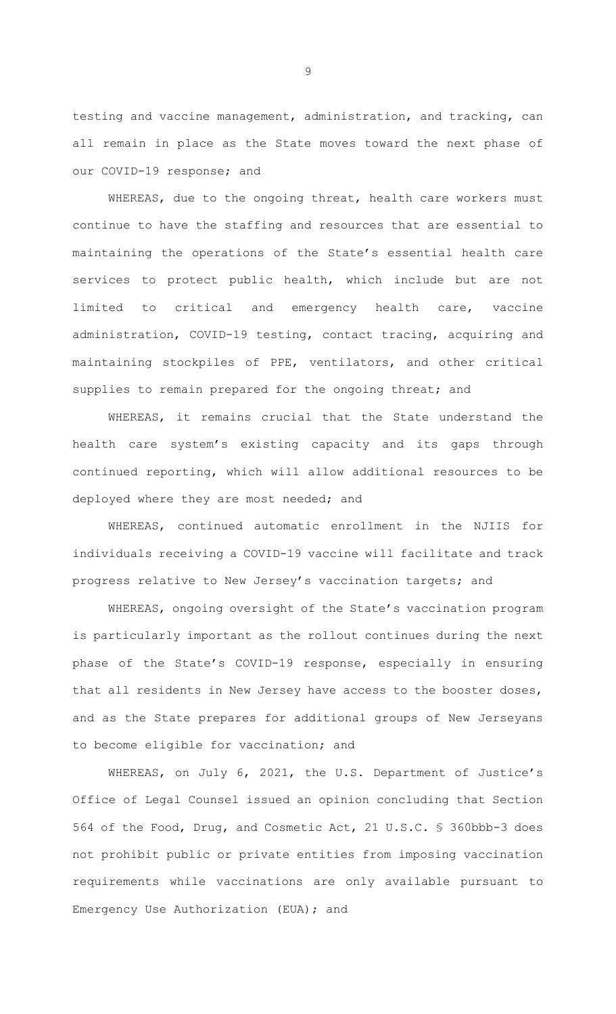testing and vaccine management, administration, and tracking, can all remain in place as the State moves toward the next phase of our COVID-19 response; and

WHEREAS, due to the ongoing threat, health care workers must continue to have the staffing and resources that are essential to maintaining the operations of the State's essential health care services to protect public health, which include but are not limited to critical and emergency health care, vaccine administration, COVID-19 testing, contact tracing, acquiring and maintaining stockpiles of PPE, ventilators, and other critical supplies to remain prepared for the ongoing threat; and

WHEREAS, it remains crucial that the State understand the health care system's existing capacity and its gaps through continued reporting, which will allow additional resources to be deployed where they are most needed; and

WHEREAS, continued automatic enrollment in the NJIIS for individuals receiving a COVID-19 vaccine will facilitate and track progress relative to New Jersey's vaccination targets; and

WHEREAS, ongoing oversight of the State's vaccination program is particularly important as the rollout continues during the next phase of the State's COVID-19 response, especially in ensuring that all residents in New Jersey have access to the booster doses, and as the State prepares for additional groups of New Jerseyans to become eligible for vaccination; and

WHEREAS, on July 6, 2021, the U.S. Department of Justice's Office of Legal Counsel issued an opinion concluding that Section 564 of the Food, Drug, and Cosmetic Act, 21 U.S.C. § 360bbb-3 does not prohibit public or private entities from imposing vaccination requirements while vaccinations are only available pursuant to Emergency Use Authorization (EUA); and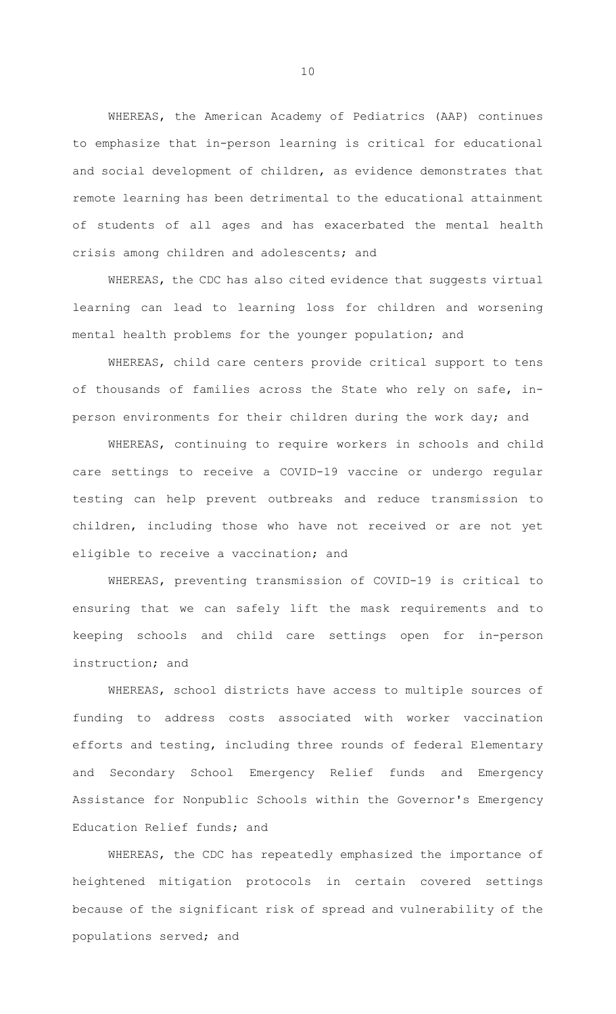WHEREAS, the American Academy of Pediatrics (AAP) continues to emphasize that in-person learning is critical for educational and social development of children, as evidence demonstrates that remote learning has been detrimental to the educational attainment of students of all ages and has exacerbated the mental health crisis among children and adolescents; and

WHEREAS, the CDC has also cited evidence that suggests virtual learning can lead to learning loss for children and worsening mental health problems for the younger population; and

WHEREAS, child care centers provide critical support to tens of thousands of families across the State who rely on safe, inperson environments for their children during the work day; and

WHEREAS, continuing to require workers in schools and child care settings to receive a COVID-19 vaccine or undergo regular testing can help prevent outbreaks and reduce transmission to children, including those who have not received or are not yet eligible to receive a vaccination; and

WHEREAS, preventing transmission of COVID-19 is critical to ensuring that we can safely lift the mask requirements and to keeping schools and child care settings open for in-person instruction; and

WHEREAS, school districts have access to multiple sources of funding to address costs associated with worker vaccination efforts and testing, including three rounds of federal Elementary and Secondary School Emergency Relief funds and Emergency Assistance for Nonpublic Schools within the Governor's Emergency Education Relief funds; and

WHEREAS, the CDC has repeatedly emphasized the importance of heightened mitigation protocols in certain covered settings because of the significant risk of spread and vulnerability of the populations served; and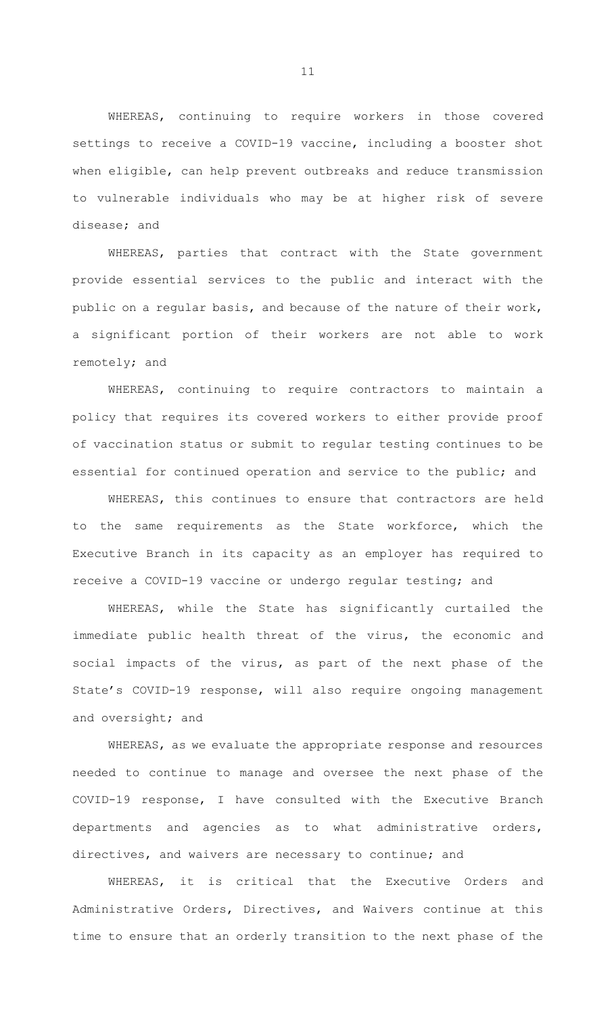WHEREAS, continuing to require workers in those covered settings to receive a COVID-19 vaccine, including a booster shot when eligible, can help prevent outbreaks and reduce transmission to vulnerable individuals who may be at higher risk of severe disease; and

WHEREAS, parties that contract with the State government provide essential services to the public and interact with the public on a regular basis, and because of the nature of their work, a significant portion of their workers are not able to work remotely; and

WHEREAS, continuing to require contractors to maintain a policy that requires its covered workers to either provide proof of vaccination status or submit to regular testing continues to be essential for continued operation and service to the public; and

WHEREAS, this continues to ensure that contractors are held to the same requirements as the State workforce, which the Executive Branch in its capacity as an employer has required to receive a COVID-19 vaccine or undergo regular testing; and

WHEREAS, while the State has significantly curtailed the immediate public health threat of the virus, the economic and social impacts of the virus, as part of the next phase of the State's COVID-19 response, will also require ongoing management and oversight; and

WHEREAS, as we evaluate the appropriate response and resources needed to continue to manage and oversee the next phase of the COVID-19 response, I have consulted with the Executive Branch departments and agencies as to what administrative orders, directives, and waivers are necessary to continue; and

WHEREAS, it is critical that the Executive Orders and Administrative Orders, Directives, and Waivers continue at this time to ensure that an orderly transition to the next phase of the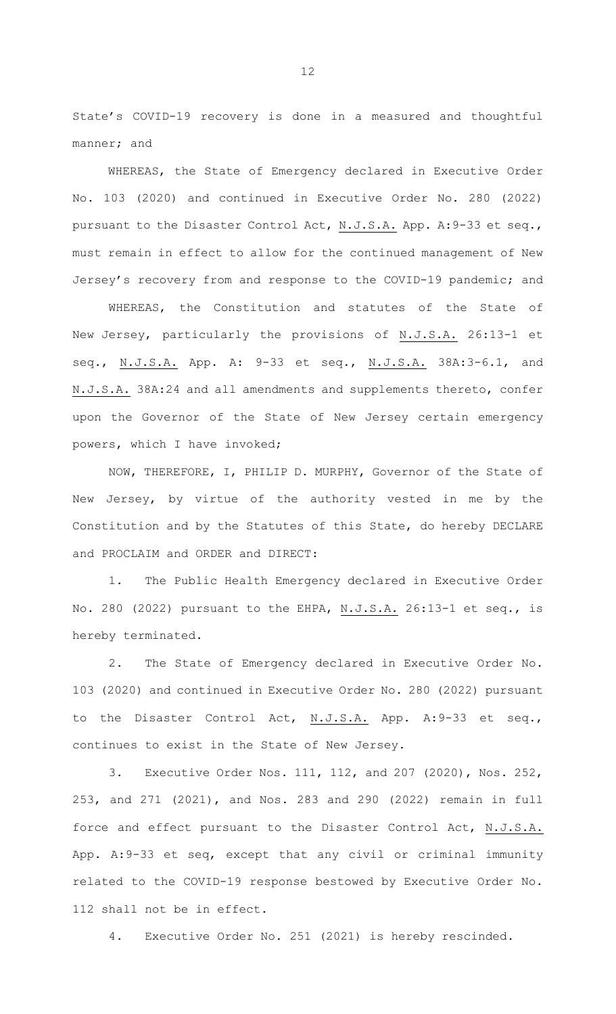State's COVID-19 recovery is done in a measured and thoughtful manner; and

WHEREAS, the State of Emergency declared in Executive Order No. 103 (2020) and continued in Executive Order No. 280 (2022) pursuant to the Disaster Control Act, N.J.S.A. App. A:9-33 et seq., must remain in effect to allow for the continued management of New Jersey's recovery from and response to the COVID-19 pandemic; and

WHEREAS, the Constitution and statutes of the State of New Jersey, particularly the provisions of N.J.S.A. 26:13-1 et seq., N.J.S.A. App. A: 9-33 et seq., N.J.S.A. 38A:3-6.1, and N.J.S.A. 38A:24 and all amendments and supplements thereto, confer upon the Governor of the State of New Jersey certain emergency powers, which I have invoked;

NOW, THEREFORE, I, PHILIP D. MURPHY, Governor of the State of New Jersey, by virtue of the authority vested in me by the Constitution and by the Statutes of this State, do hereby DECLARE and PROCLAIM and ORDER and DIRECT:

1. The Public Health Emergency declared in Executive Order No. 280 (2022) pursuant to the EHPA, N.J.S.A. 26:13-1 et seq., is hereby terminated.

2. The State of Emergency declared in Executive Order No. 103 (2020) and continued in Executive Order No. 280 (2022) pursuant to the Disaster Control Act, N.J.S.A. App. A:9-33 et seq., continues to exist in the State of New Jersey.

3. Executive Order Nos. 111, 112, and 207 (2020), Nos. 252, 253, and 271 (2021), and Nos. 283 and 290 (2022) remain in full force and effect pursuant to the Disaster Control Act, N.J.S.A. App. A:9-33 et seq, except that any civil or criminal immunity related to the COVID-19 response bestowed by Executive Order No. 112 shall not be in effect.

4. Executive Order No. 251 (2021) is hereby rescinded.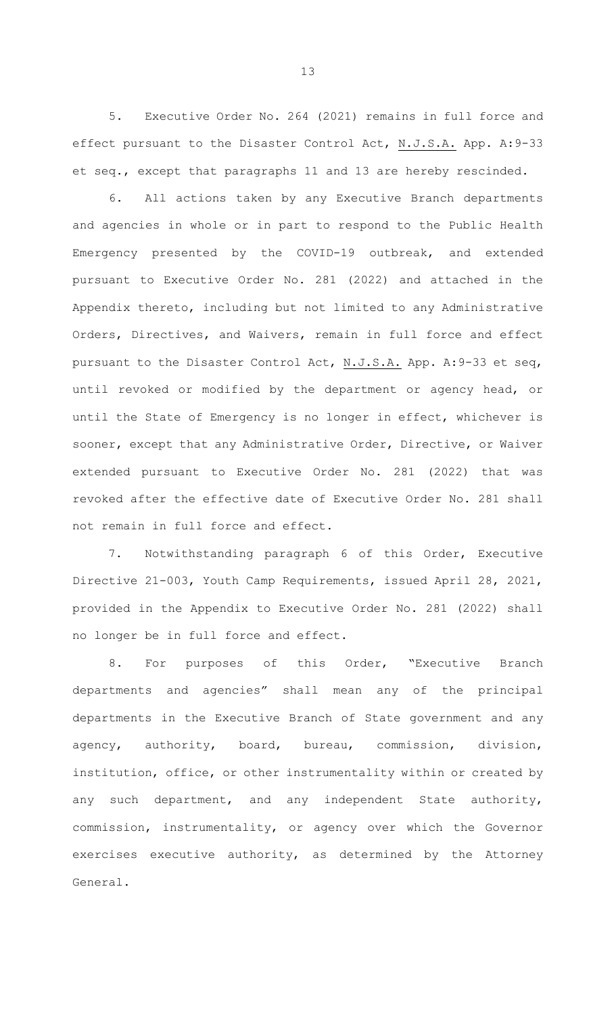5. Executive Order No. 264 (2021) remains in full force and effect pursuant to the Disaster Control Act, N.J.S.A. App. A:9-33 et seq., except that paragraphs 11 and 13 are hereby rescinded.

6. All actions taken by any Executive Branch departments and agencies in whole or in part to respond to the Public Health Emergency presented by the COVID-19 outbreak, and extended pursuant to Executive Order No. 281 (2022) and attached in the Appendix thereto, including but not limited to any Administrative Orders, Directives, and Waivers, remain in full force and effect pursuant to the Disaster Control Act, N.J.S.A. App. A:9-33 et seq, until revoked or modified by the department or agency head, or until the State of Emergency is no longer in effect, whichever is sooner, except that any Administrative Order, Directive, or Waiver extended pursuant to Executive Order No. 281 (2022) that was revoked after the effective date of Executive Order No. 281 shall not remain in full force and effect.

7. Notwithstanding paragraph 6 of this Order, Executive Directive 21-003, Youth Camp Requirements, issued April 28, 2021, provided in the Appendix to Executive Order No. 281 (2022) shall no longer be in full force and effect.

8. For purposes of this Order, "Executive Branch departments and agencies" shall mean any of the principal departments in the Executive Branch of State government and any agency, authority, board, bureau, commission, division, institution, office, or other instrumentality within or created by any such department, and any independent State authority, commission, instrumentality, or agency over which the Governor exercises executive authority, as determined by the Attorney General.